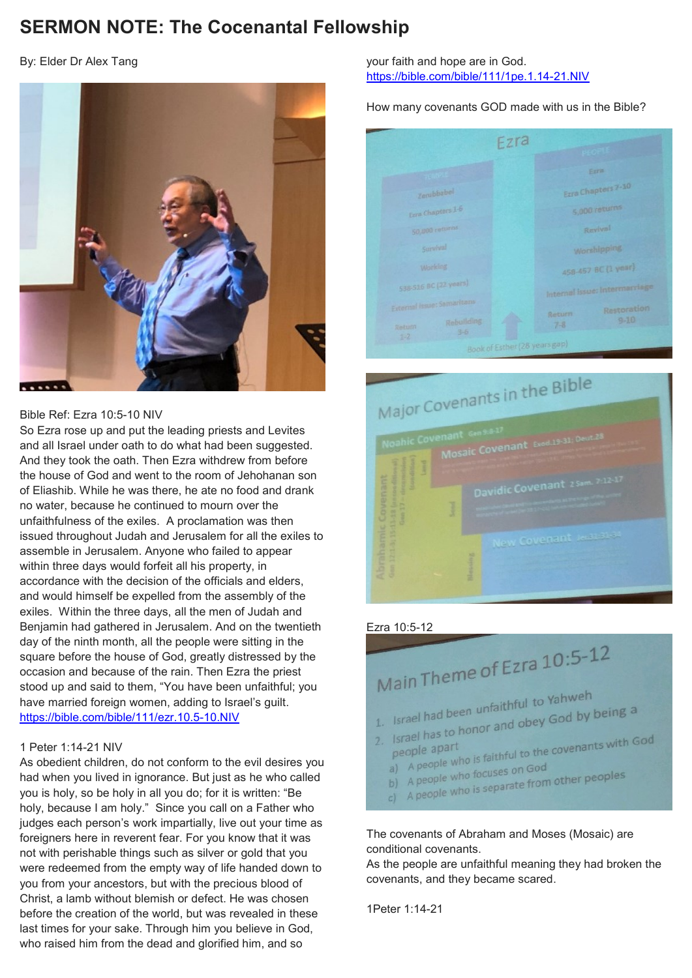### **SERMON NOTE: The Cocenantal Fellowship**

#### By: Elder Dr Alex Tang



#### Bible Ref: Ezra 10:5-10 NIV

So Ezra rose up and put the leading priests and Levites and all Israel under oath to do what had been suggested. And they took the oath. Then Ezra withdrew from before the house of God and went to the room of Jehohanan son of Eliashib. While he was there, he ate no food and drank no water, because he continued to mourn over the unfaithfulness of the exiles. A proclamation was then issued throughout Judah and Jerusalem for all the exiles to assemble in Jerusalem. Anyone who failed to appear within three days would forfeit all his property, in accordance with the decision of the officials and elders, and would himself be expelled from the assembly of the exiles. Within the three days, all the men of Judah and Benjamin had gathered in Jerusalem. And on the twentieth day of the ninth month, all the people were sitting in the square before the house of God, greatly distressed by the occasion and because of the rain. Then Ezra the priest stood up and said to them, "You have been unfaithful; you have married foreign women, adding to Israel's guilt. <https://bible.com/bible/111/ezr.10.5-10.NIV>

#### 1 Peter 1:14-21 NIV

As obedient children, do not conform to the evil desires you had when you lived in ignorance. But just as he who called you is holy, so be holy in all you do; for it is written: "Be holy, because I am holy." Since you call on a Father who judges each person's work impartially, live out your time as foreigners here in reverent fear. For you know that it was not with perishable things such as silver or gold that you were redeemed from the empty way of life handed down to you from your ancestors, but with the precious blood of Christ, a lamb without blemish or defect. He was chosen before the creation of the world, but was revealed in these last times for your sake. Through him you believe in God, who raised him from the dead and glorified him, and so

#### your faith and hope are in God. <https://bible.com/bible/111/1pe.1.14-21.NIV>

#### How many covenants GOD made with us in the Bible?

|                                          | Ezra                          |                               |
|------------------------------------------|-------------------------------|-------------------------------|
|                                          |                               | Egra                          |
| Zerubbabel                               |                               | Ezra Chapters 7-10            |
| Ezra Chapters 1-6                        |                               | 5,000 returns                 |
| 50,000 returns                           |                               | Revival                       |
| Survival                                 |                               | Worshipping                   |
| Working                                  |                               | 458-457 BC (2 year)           |
| 538-516 BC (22 years)                    |                               | Internal Issue; Intermarriage |
| <b>External Issue: Samaritans</b>        |                               | Restoration<br>Return         |
| Rebuilding<br>Return<br>$3-6$<br>$1 - 2$ |                               | $9 - 10$<br>$7 - 8$           |
|                                          | Book of Esther (28 years gap) |                               |



#### Ezra 10:5-12



The covenants of Abraham and Moses (Mosaic) are conditional covenants.

As the people are unfaithful meaning they had broken the covenants, and they became scared.

1Peter 1:14-21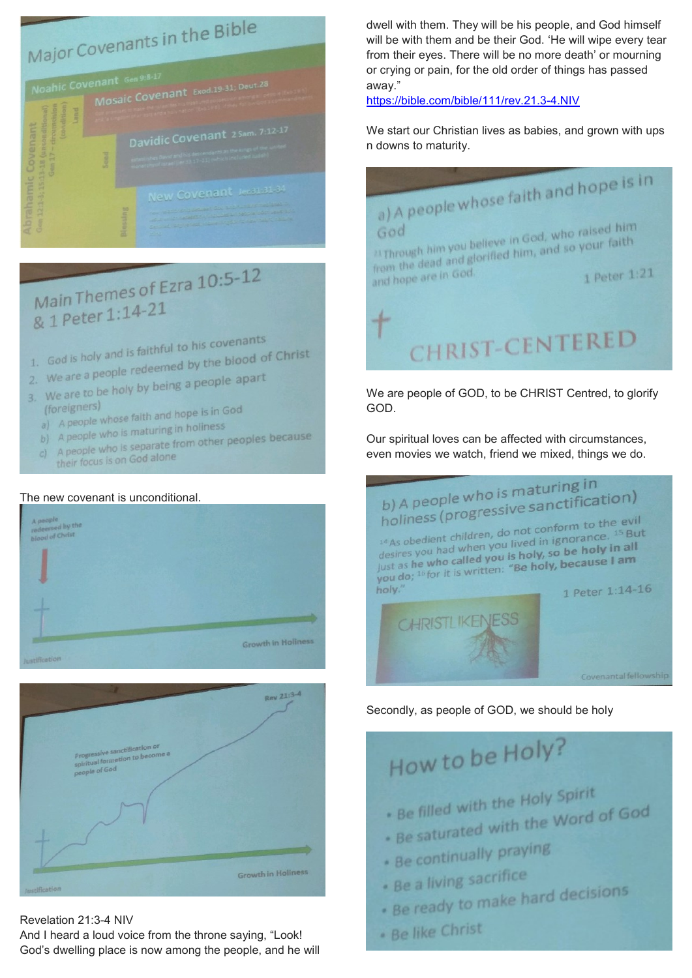

# Main Themes of Ezra 10:5-12 & 1 Peter 1:14-21

1. God is holy and is faithful to his covenants<br>1. God is holy and is faithful to his covenants

- God is holy and is faithful to his covenance<br>We are a people redeemed by the blood of Christ<br>We are a people redeemed by heing a people apart
- We are a people redeemed a people apart  $2.$
- (foreigners)
	- (foreigners)<br>a) A people whose faith and hope is in God<br>a) A people whose foreturing in holiness
	- a) A people who is maturing in holiness<br>b) A people who is maturing in holiness A people who is maturing in nonness<br>A people who is separate from other peoples because
	- A people who is separation

#### The new covenant is unconditional.





Revelation 21:3-4 NIV

And I heard a loud voice from the throne saying, "Look! God's dwelling place is now among the people, and he will

dwell with them. They will be his people, and God himself will be with them and be their God. 'He will wipe every tear from their eyes. There will be no more death' or mourning or crying or pain, for the old order of things has passed away."

<https://bible.com/bible/111/rev.21.3-4.NIV>

We start our Christian lives as babies, and grown with ups n downs to maturity.



We are people of GOD, to be CHRIST Centred, to glorify GOD.

Our spiritual loves can be affected with circumstances, even movies we watch, friend we mixed, things we do.



#### Secondly, as people of GOD, we should be holy